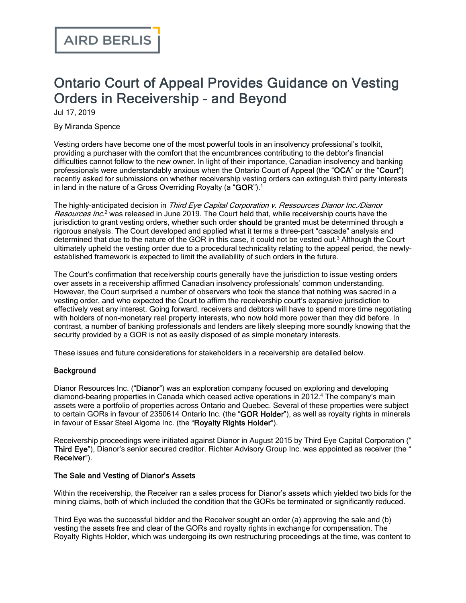# Ontario Court of Appeal Provides Guidance on Vesting Orders in Receivership – and Beyond

Jul 17, 2019

By Miranda Spence

Vesting orders have become one of the most powerful tools in an insolvency professional's toolkit, providing a purchaser with the comfort that the encumbrances contributing to the debtor's financial difficulties cannot follow to the new owner. In light of their importance, Canadian insolvency and banking professionals were understandably anxious when the Ontario Court of Appeal (the "OCA" or the "Court") recently asked for submissions on whether receivership vesting orders can extinguish third party interests in land in the nature of a Gross Overriding Royalty (a " $GOR$ ").<sup>1</sup>

The highly-anticipated decision in Third Eye Capital Corporation v. Ressources Dianor Inc./Dianor Resources Inc.<sup>2</sup> was released in June 2019. The Court held that, while receivership courts have the jurisdiction to grant vesting orders, whether such order should be granted must be determined through a rigorous analysis. The Court developed and applied what it terms a three-part "cascade" analysis and determined that due to the nature of the GOR in this case, it could not be vested out.<sup>3</sup> Although the Court ultimately upheld the vesting order due to a procedural technicality relating to the appeal period, the newlyestablished framework is expected to limit the availability of such orders in the future.

The Court's confirmation that receivership courts generally have the jurisdiction to issue vesting orders over assets in a receivership affirmed Canadian insolvency professionals' common understanding. However, the Court surprised a number of observers who took the stance that nothing was sacred in a vesting order, and who expected the Court to affirm the receivership court's expansive jurisdiction to effectively vest any interest. Going forward, receivers and debtors will have to spend more time negotiating with holders of non-monetary real property interests, who now hold more power than they did before. In contrast, a number of banking professionals and lenders are likely sleeping more soundly knowing that the security provided by a GOR is not as easily disposed of as simple monetary interests.

These issues and future considerations for stakeholders in a receivership are detailed below.

#### **Background**

Dianor Resources Inc. ("Dianor") was an exploration company focused on exploring and developing diamond-bearing properties in Canada which ceased active operations in 2012.<sup>4</sup> The company's main assets were a portfolio of properties across Ontario and Quebec. Several of these properties were subject to certain GORs in favour of 2350614 Ontario Inc. (the "GOR Holder"), as well as royalty rights in minerals in favour of Essar Steel Algoma Inc. (the "Royalty Rights Holder").

Receivership proceedings were initiated against Dianor in August 2015 by Third Eye Capital Corporation (" Third Eye"), Dianor's senior secured creditor. Richter Advisory Group Inc. was appointed as receiver (the " Receiver").

#### The Sale and Vesting of Dianor's Assets

Within the receivership, the Receiver ran a sales process for Dianor's assets which yielded two bids for the mining claims, both of which included the condition that the GORs be terminated or significantly reduced.

Third Eye was the successful bidder and the Receiver sought an order (a) approving the sale and (b) vesting the assets free and clear of the GORs and royalty rights in exchange for compensation. The Royalty Rights Holder, which was undergoing its own restructuring proceedings at the time, was content to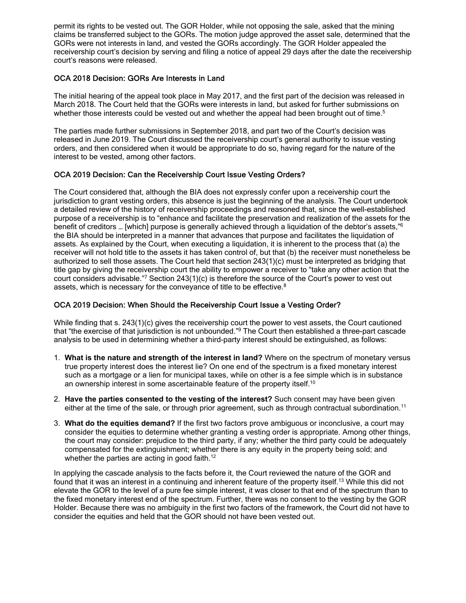permit its rights to be vested out. The GOR Holder, while not opposing the sale, asked that the mining claims be transferred subject to the GORs. The motion judge approved the asset sale, determined that the GORs were not interests in land, and vested the GORs accordingly. The GOR Holder appealed the receivership court's decision by serving and filing a notice of appeal 29 days after the date the receivership court's reasons were released.

#### OCA 2018 Decision: GORs Are Interests in Land

The initial hearing of the appeal took place in May 2017, and the first part of the decision was released in March 2018. The Court held that the GORs were interests in land, but asked for further submissions on whether those interests could be vested out and whether the appeal had been brought out of time.<sup>5</sup>

The parties made further submissions in September 2018, and part two of the Court's decision was released in June 2019. The Court discussed the receivership court's general authority to issue vesting orders, and then considered when it would be appropriate to do so, having regard for the nature of the interest to be vested, among other factors.

#### OCA 2019 Decision: Can the Receivership Court Issue Vesting Orders?

The Court considered that, although the BIA does not expressly confer upon a receivership court the jurisdiction to grant vesting orders, this absence is just the beginning of the analysis. The Court undertook a detailed review of the history of receivership proceedings and reasoned that, since the well-established purpose of a receivership is to "enhance and facilitate the preservation and realization of the assets for the benefit of creditors … [which] purpose is generally achieved through a liquidation of the debtor's assets,"<sup>6</sup> the BIA should be interpreted in a manner that advances that purpose and facilitates the liquidation of assets. As explained by the Court, when executing a liquidation, it is inherent to the process that (a) the receiver will not hold title to the assets it has taken control of, but that (b) the receiver must nonetheless be authorized to sell those assets. The Court held that section 243(1)(c) must be interpreted as bridging that title gap by giving the receivership court the ability to empower a receiver to "take any other action that the court considers advisable."<sup>7</sup> Section 243(1)(c) is therefore the source of the Court's power to vest out assets, which is necessary for the conveyance of title to be effective.<sup>8</sup>

#### OCA 2019 Decision: When Should the Receivership Court Issue a Vesting Order?

While finding that s. 243(1)(c) gives the receivership court the power to vest assets, the Court cautioned that "the exercise of that jurisdiction is not unbounded."<sup>9</sup> The Court then established a three-part cascade analysis to be used in determining whether a third-party interest should be extinguished, as follows:

- 1. **What is the nature and strength of the interest in land?** Where on the spectrum of monetary versus true property interest does the interest lie? On one end of the spectrum is a fixed monetary interest such as a mortgage or a lien for municipal taxes, while on other is a fee simple which is in substance an ownership interest in some ascertainable feature of the property itself.<sup>10</sup>
- 2. **Have the parties consented to the vesting of the interest?** Such consent may have been given either at the time of the sale, or through prior agreement, such as through contractual subordination.<sup>11</sup>
- 3. **What do the equities demand?** If the first two factors prove ambiguous or inconclusive, a court may consider the equities to determine whether granting a vesting order is appropriate. Among other things, the court may consider: prejudice to the third party, if any; whether the third party could be adequately compensated for the extinguishment; whether there is any equity in the property being sold; and whether the parties are acting in good faith.<sup>12</sup>

In applying the cascade analysis to the facts before it, the Court reviewed the nature of the GOR and found that it was an interest in a continuing and inherent feature of the property itself.<sup>13</sup> While this did not elevate the GOR to the level of a pure fee simple interest, it was closer to that end of the spectrum than to the fixed monetary interest end of the spectrum. Further, there was no consent to the vesting by the GOR Holder. Because there was no ambiguity in the first two factors of the framework, the Court did not have to consider the equities and held that the GOR should not have been vested out.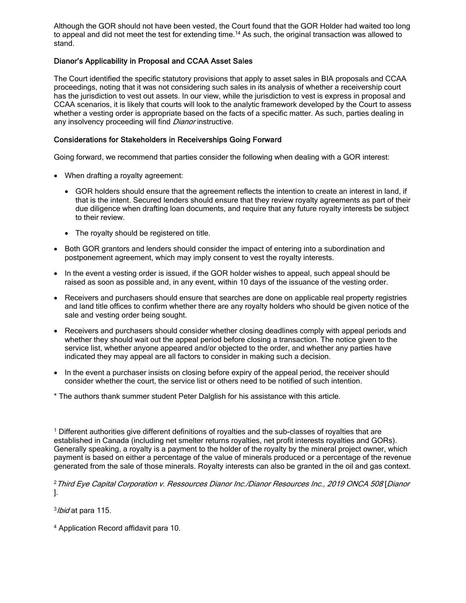Although the GOR should not have been vested, the Court found that the GOR Holder had waited too long to appeal and did not meet the test for extending time.<sup>14</sup> As such, the original transaction was allowed to stand.

### Dianor's Applicability in Proposal and CCAA Asset Sales

The Court identified the specific statutory provisions that apply to asset sales in BIA proposals and CCAA proceedings, noting that it was not considering such sales in its analysis of whether a receivership court has the jurisdiction to vest out assets. In our view, while the jurisdiction to vest is express in proposal and CCAA scenarios, it is likely that courts will look to the analytic framework developed by the Court to assess whether a vesting order is appropriate based on the facts of a specific matter. As such, parties dealing in any insolvency proceeding will find Dianor instructive.

#### Considerations for Stakeholders in Receiverships Going Forward

Going forward, we recommend that parties consider the following when dealing with a GOR interest:

- · When drafting a royalty agreement:
	- · GOR holders should ensure that the agreement reflects the intention to create an interest in land, if that is the intent. Secured lenders should ensure that they review royalty agreements as part of their due diligence when drafting loan documents, and require that any future royalty interests be subject to their review.
	- The royalty should be registered on title.
- · Both GOR grantors and lenders should consider the impact of entering into a subordination and postponement agreement, which may imply consent to vest the royalty interests.
- In the event a vesting order is issued, if the GOR holder wishes to appeal, such appeal should be raised as soon as possible and, in any event, within 10 days of the issuance of the vesting order.
- · Receivers and purchasers should ensure that searches are done on applicable real property registries and land title offices to confirm whether there are any royalty holders who should be given notice of the sale and vesting order being sought.
- · Receivers and purchasers should consider whether closing deadlines comply with appeal periods and whether they should wait out the appeal period before closing a transaction. The notice given to the service list, whether anyone appeared and/or objected to the order, and whether any parties have indicated they may appeal are all factors to consider in making such a decision.
- · In the event a purchaser insists on closing before expiry of the appeal period, the receiver should consider whether the court, the service list or others need to be notified of such intention.
- \* The authors thank summer student Peter Dalglish for his assistance with this article.

<sup>1</sup> Different authorities give different definitions of royalties and the sub-classes of royalties that are established in Canada (including net smelter returns royalties, net profit interests royalties and GORs). Generally speaking, a royalty is a payment to the holder of the royalty by the mineral project owner, which payment is based on either a percentage of the value of minerals produced or a percentage of the revenue generated from the sale of those minerals. Royalty interests can also be granted in the oil and gas context.

<sup>2</sup>Third Eye Capital Corporation v. Ressources Dianor Inc./Dianor Resources Inc., 2019 ONCA 508 [Dianor ].

<sup>3</sup>/bid at para 115.

<sup>4</sup> Application Record affidavit para 10.